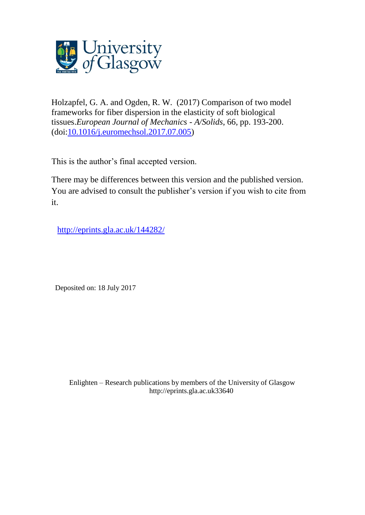

Holzapfel, G. A. and Ogden, R. W. (2017) Comparison of two model frameworks for fiber dispersion in the elasticity of soft biological tissues.*European Journal of Mechanics - A/Solids*, 66, pp. 193-200. (doi[:10.1016/j.euromechsol.2017.07.005\)](http://dx.doi.org/10.1016/j.euromechsol.2017.07.005)

This is the author's final accepted version.

There may be differences between this version and the published version. You are advised to consult the publisher's version if you wish to cite from it.

<http://eprints.gla.ac.uk/144282/>

Deposited on: 18 July 2017

Enlighten – Research publications by members of the University of Glasgo[w](http://eprints.gla.ac.uk/) [http://eprints.gla.ac.uk3](http://eprints.gla.ac.uk/)3640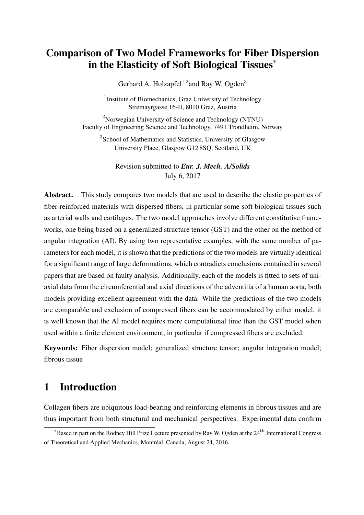# Comparison of Two Model Frameworks for Fiber Dispersion in the Elasticity of Soft Biological Tissues<sup>∗</sup>

Gerhard A. Holzapfel $^{1,2}$ and Ray W. Ogden $^3$ 

<sup>1</sup> Institute of Biomechanics, Graz University of Technology Stremayrgasse 16-II, 8010 Graz, Austria

<sup>2</sup>Norwegian University of Science and Technology (NTNU) Faculty of Engineering Science and Technology, 7491 Trondheim, Norway

<sup>3</sup> School of Mathematics and Statistics, University of Glasgow University Place, Glasgow G12 8SQ, Scotland, UK

Revision submitted to *Eur. J. Mech. A/Solids* July 6, 2017

Abstract. This study compares two models that are used to describe the elastic properties of fiber-reinforced materials with dispersed fibers, in particular some soft biological tissues such as arterial walls and cartilages. The two model approaches involve different constitutive frameworks, one being based on a generalized structure tensor (GST) and the other on the method of angular integration (AI). By using two representative examples, with the same number of parameters for each model, it is shown that the predictions of the two models are virtually identical for a significant range of large deformations, which contradicts conclusions contained in several papers that are based on faulty analysis. Additionally, each of the models is fitted to sets of uniaxial data from the circumferential and axial directions of the adventitia of a human aorta, both models providing excellent agreement with the data. While the predictions of the two models are comparable and exclusion of compressed fibers can be accommodated by either model, it is well known that the AI model requires more computational time than the GST model when used within a finite element environment, in particular if compressed fibers are excluded.

Keywords: Fiber dispersion model; generalized structure tensor; angular integration model; fibrous tissue

# 1 Introduction

Collagen fibers are ubiquitous load-bearing and reinforcing elements in fibrous tissues and are thus important from both structural and mechanical perspectives. Experimental data confirm

 $*$ Based in part on the Rodney Hill Prize Lecture presented by Ray W. Ogden at the 24<sup>th</sup> International Congress of Theoretical and Applied Mechanics, Montréal, Canada, August 24, 2016.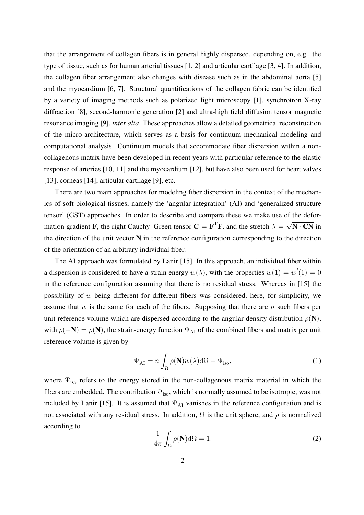that the arrangement of collagen fibers is in general highly dispersed, depending on, e.g., the type of tissue, such as for human arterial tissues [1, 2] and articular cartilage [3, 4]. In addition, the collagen fiber arrangement also changes with disease such as in the abdominal aorta [5] and the myocardium [6, 7]. Structural quantifications of the collagen fabric can be identified by a variety of imaging methods such as polarized light microscopy [1], synchrotron X-ray diffraction [8], second-harmonic generation [2] and ultra-high field diffusion tensor magnetic resonance imaging [9], *inter alia*. These approaches allow a detailed geometrical reconstruction of the micro-architecture, which serves as a basis for continuum mechanical modeling and computational analysis. Continuum models that accommodate fiber dispersion within a noncollagenous matrix have been developed in recent years with particular reference to the elastic response of arteries [10, 11] and the myocardium [12], but have also been used for heart valves [13], corneas [14], articular cartilage [9], etc.

There are two main approaches for modeling fiber dispersion in the context of the mechanics of soft biological tissues, namely the 'angular integration' (AI) and 'generalized structure tensor' (GST) approaches. In order to describe and compare these we make use of the deformation gradient **F**, the right Cauchy–Green tensor  $C = F^T F$ , and the stretch  $\lambda = \sqrt{N \cdot CN}$  in the direction of the unit vector N in the reference configuration corresponding to the direction of the orientation of an arbitrary individual fiber.

The AI approach was formulated by Lanir [15]. In this approach, an individual fiber within a dispersion is considered to have a strain energy  $w(\lambda)$ , with the properties  $w(1) = w'(1) = 0$ in the reference configuration assuming that there is no residual stress. Whereas in [15] the possibility of w being different for different fibers was considered, here, for simplicity, we assume that w is the same for each of the fibers. Supposing that there are n such fibers per unit reference volume which are dispersed according to the angular density distribution  $\rho(\mathbf{N})$ , with  $\rho(-N) = \rho(N)$ , the strain-energy function  $\Psi_{\rm AI}$  of the combined fibers and matrix per unit reference volume is given by

$$
\Psi_{\rm AI} = n \int_{\Omega} \rho(\mathbf{N}) w(\lambda) d\Omega + \Psi_{\rm iso}, \tag{1}
$$

where  $\Psi_{\text{iso}}$  refers to the energy stored in the non-collagenous matrix material in which the fibers are embedded. The contribution  $\Psi_{\text{iso}}$ , which is normally assumed to be isotropic, was not included by Lanir [15]. It is assumed that  $\Psi_{\rm AI}$  vanishes in the reference configuration and is not associated with any residual stress. In addition,  $\Omega$  is the unit sphere, and  $\rho$  is normalized according to

$$
\frac{1}{4\pi} \int_{\Omega} \rho(\mathbf{N}) d\Omega = 1.
$$
 (2)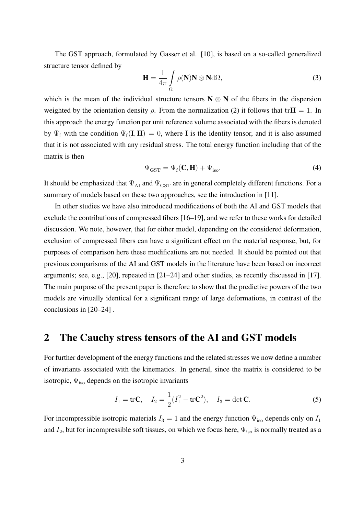The GST approach, formulated by Gasser et al. [10], is based on a so-called generalized structure tensor defined by

$$
\mathbf{H} = \frac{1}{4\pi} \int_{\Omega} \rho(\mathbf{N}) \mathbf{N} \otimes \mathbf{N} \, \mathrm{d}\Omega,\tag{3}
$$

which is the mean of the individual structure tensors  $N \otimes N$  of the fibers in the dispersion weighted by the orientation density  $\rho$ . From the normalization (2) it follows that tr $H = 1$ . In this approach the energy function per unit reference volume associated with the fibers is denoted by  $\Psi_f$  with the condition  $\Psi_f(\mathbf{I}, \mathbf{H}) = 0$ , where **I** is the identity tensor, and it is also assumed that it is not associated with any residual stress. The total energy function including that of the matrix is then

$$
\Psi_{\rm GST} = \Psi_{\rm f}(\mathbf{C}, \mathbf{H}) + \Psi_{\rm iso}.
$$
\n(4)

It should be emphasized that  $\Psi_{\text{AI}}$  and  $\Psi_{\text{GST}}$  are in general completely different functions. For a summary of models based on these two approaches, see the introduction in [11].

In other studies we have also introduced modifications of both the AI and GST models that exclude the contributions of compressed fibers [16–19], and we refer to these works for detailed discussion. We note, however, that for either model, depending on the considered deformation, exclusion of compressed fibers can have a significant effect on the material response, but, for purposes of comparison here these modifications are not needed. It should be pointed out that previous comparisons of the AI and GST models in the literature have been based on incorrect arguments; see, e.g., [20], repeated in [21–24] and other studies, as recently discussed in [17]. The main purpose of the present paper is therefore to show that the predictive powers of the two models are virtually identical for a significant range of large deformations, in contrast of the conclusions in [20–24] .

### 2 The Cauchy stress tensors of the AI and GST models

For further development of the energy functions and the related stresses we now define a number of invariants associated with the kinematics. In general, since the matrix is considered to be isotropic,  $\Psi_{\text{iso}}$  depends on the isotropic invariants

$$
I_1 = \text{tr}\mathbf{C}, \quad I_2 = \frac{1}{2}(I_1^2 - \text{tr}\mathbf{C}^2), \quad I_3 = \det\mathbf{C}.
$$
 (5)

For incompressible isotropic materials  $I_3 = 1$  and the energy function  $\Psi_{\text{iso}}$  depends only on  $I_1$ and  $I_2$ , but for incompressible soft tissues, on which we focus here,  $\Psi_{\text{iso}}$  is normally treated as a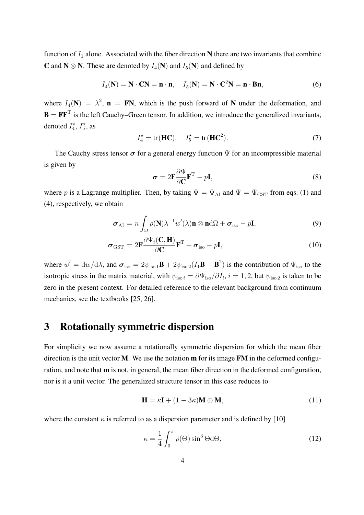function of  $I_1$  alone. Associated with the fiber direction N there are two invariants that combine **C** and **N**  $\otimes$  **N**. These are denoted by  $I_4$ (**N**) and  $I_5$ (**N**) and defined by

$$
I_4(N) = N \cdot CN = n \cdot n, \quad I_5(N) = N \cdot C^2N = n \cdot Bn,
$$
\n(6)

where  $I_4(N) = \lambda^2$ ,  $\mathbf{n} = \mathbf{FN}$ , which is the push forward of N under the deformation, and  $\mathbf{B} = \mathbf{F} \mathbf{F}^{\mathrm{T}}$  is the left Cauchy–Green tensor. In addition, we introduce the generalized invariants, denoted  $I_4^{\star}$ ,  $I_5^{\star}$ , as

$$
I_4^* = \text{tr}(\mathbf{HC}), \quad I_5^* = \text{tr}(\mathbf{HC}^2). \tag{7}
$$

The Cauchy stress tensor  $\sigma$  for a general energy function  $\Psi$  for an incompressible material is given by

$$
\sigma = 2\mathbf{F}\frac{\partial \Psi}{\partial \mathbf{C}}\mathbf{F}^{\mathrm{T}} - p\mathbf{I},\tag{8}
$$

where p is a Lagrange multiplier. Then, by taking  $\Psi = \Psi_{\text{AI}}$  and  $\Psi = \Psi_{\text{GST}}$  from eqs. (1) and (4), respectively, we obtain

$$
\boldsymbol{\sigma}_{\text{AI}} = n \int_{\Omega} \rho(\mathbf{N}) \lambda^{-1} w'(\lambda) \mathbf{n} \otimes \mathbf{n} \, \mathrm{d}\Omega + \boldsymbol{\sigma}_{\text{iso}} - p \mathbf{I}, \tag{9}
$$

$$
\boldsymbol{\sigma}_{\rm GST} = 2\mathbf{F} \frac{\partial \Psi_{\rm f}(\mathbf{C}, \mathbf{H})}{\partial \mathbf{C}} \mathbf{F}^{\rm T} + \boldsymbol{\sigma}_{\rm iso} - p\mathbf{I},\tag{10}
$$

where  $w' = dw/d\lambda$ , and  $\sigma_{iso} = 2\psi_{iso} \cdot 1B + 2\psi_{iso} (I_1B - B^2)$  is the contribution of  $\Psi_{iso}$  to the isotropic stress in the matrix material, with  $\psi_{iso i} = \partial \Psi_{iso}/\partial I_i$ ,  $i = 1, 2$ , but  $\psi_{iso 2}$  is taken to be zero in the present context. For detailed reference to the relevant background from continuum mechanics, see the textbooks [25, 26].

# 3 Rotationally symmetric dispersion

For simplicity we now assume a rotationally symmetric dispersion for which the mean fiber direction is the unit vector  $M$ . We use the notation  $m$  for its image  $FM$  in the deformed configuration, and note that m is not, in general, the mean fiber direction in the deformed configuration, nor is it a unit vector. The generalized structure tensor in this case reduces to

$$
\mathbf{H} = \kappa \mathbf{I} + (1 - 3\kappa) \mathbf{M} \otimes \mathbf{M},\tag{11}
$$

where the constant  $\kappa$  is referred to as a dispersion parameter and is defined by [10]

$$
\kappa = \frac{1}{4} \int_0^{\pi} \rho(\Theta) \sin^3 \Theta \, d\Theta,\tag{12}
$$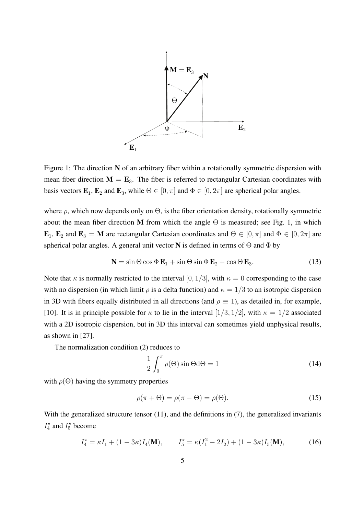

Figure 1: The direction  $N$  of an arbitrary fiber within a rotationally symmetric dispersion with mean fiber direction  $\mathbf{M} = \mathbf{E}_3$ . The fiber is referred to rectangular Cartesian coordinates with basis vectors  $\mathbf{E}_1$ ,  $\mathbf{E}_2$  and  $\mathbf{E}_3$ , while  $\Theta \in [0, \pi]$  and  $\Phi \in [0, 2\pi]$  are spherical polar angles.

 $T = T \cdot T$ .<br>rom 1  $\mathbf{E}_1$ ,  $\mathbf{E}_2$  and  $\mathbf{E}_3 = \mathbf{M}$  are rectangular Cartesian coordinates and  $\Theta \in [0, \pi]$  and  $\Phi \in [0, 2\pi]$  are about the mean fiber direction M from which the angle  $\Theta$  is measured; see Fig. 1, in which spherical polar angles. A general unit vector N is defined in terms of  $\Theta$  and  $\Phi$  by where  $\rho$ , which now depends only on  $\Theta$ , is the fiber orientation density, rotationally symmetric

$$
\mathbf{N} = \sin \Theta \cos \Phi \mathbf{E}_1 + \sin \Theta \sin \Phi \mathbf{E}_2 + \cos \Theta \mathbf{E}_3. \tag{13}
$$

Note that  $\kappa$  is normally restricted to the interval  $[0, 1/3]$ , with  $\kappa = 0$  corresponding to the case with no dispersion (in which limit  $\rho$  is a delta function) and  $\kappa = 1/3$  to an isotropic dispersion [10]. It is in principle possible for  $\kappa$  to lie in the interval [1/3, 1/2], with  $\kappa = 1/2$  associated  $\frac{1}{1}$  and  $\frac{1}{1}$  and  $\frac{1}{1}$ (M) in (6) with  $\frac{1}{\sqrt{2}}$  $A$  as an example, we now consider the energy function  $\mathcal{A}$  and  $\mathcal{A}$  are energy functions of  $\mathcal{A}$ in 3D with fibers equally distributed in all directions (and  $\rho \equiv 1$ ), as detailed in, for example, with a 2D isotropic dispersion, but in 3D this interval can sometimes yield unphysical results, as shown in [27].

The normalization condition (2) reduces to

$$
\frac{1}{2} \int_0^{\pi} \rho(\Theta) \sin \Theta d\Theta = 1
$$
 (14)

with  $\rho(\Theta)$  having the symmetry properties

$$
\rho(\pi + \Theta) = \rho(\pi - \Theta) = \rho(\Theta). \tag{15}
$$

With the generalized structure tensor  $(11)$ , and the definitions in  $(7)$ , the generalized invariants  $I_4^*$  and  $I_5^*$  become

$$
I_4^* = \kappa I_1 + (1 - 3\kappa)I_4(\mathbf{M}), \qquad I_5^* = \kappa (I_1^2 - 2I_2) + (1 - 3\kappa)I_5(\mathbf{M}), \tag{16}
$$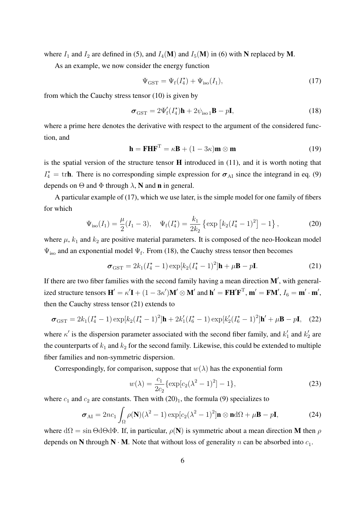where  $I_1$  and  $I_2$  are defined in (5), and  $I_4(\mathbf{M})$  and  $I_5(\mathbf{M})$  in (6) with N replaced by M.

As an example, we now consider the energy function

$$
\Psi_{\text{GST}} = \Psi_{\text{f}}(I_4^*) + \Psi_{\text{iso}}(I_1),\tag{17}
$$

from which the Cauchy stress tensor (10) is given by

$$
\boldsymbol{\sigma}_{\rm GST} = 2\Psi_{\rm f}'(I_4^{\star})\mathbf{h} + 2\psi_{\rm iso 1}\mathbf{B} - p\mathbf{I},\tag{18}
$$

where a prime here denotes the derivative with respect to the argument of the considered function, and

$$
\mathbf{h} = \mathbf{F} \mathbf{H} \mathbf{F}^{\mathrm{T}} = \kappa \mathbf{B} + (1 - 3\kappa) \mathbf{m} \otimes \mathbf{m}
$$
 (19)

is the spatial version of the structure tensor  $H$  introduced in (11), and it is worth noting that  $I_4^* = \text{tr}$ **h**. There is no corresponding simple expression for  $\sigma_{AI}$  since the integrand in eq. (9) depends on  $\Theta$  and  $\Phi$  through  $\lambda$ , **N** and **n** in general.

A particular example of (17), which we use later, is the simple model for one family of fibers for which

$$
\Psi_{\rm iso}(I_1) = \frac{\mu}{2}(I_1 - 3), \quad \Psi_{\rm f}(I_4^{\star}) = \frac{k_1}{2k_2} \left\{ \exp\left[ k_2 (I_4^{\star} - 1)^2 \right] - 1 \right\},\tag{20}
$$

where  $\mu$ ,  $k_1$  and  $k_2$  are positive material parameters. It is composed of the neo-Hookean model  $\Psi_{\text{iso}}$  and an exponential model  $\Psi_{\text{f}}$ . From (18), the Cauchy stress tensor then becomes

$$
\boldsymbol{\sigma}_{\text{GST}} = 2k_1(I_4^{\star} - 1) \exp[k_2(I_4^{\star} - 1)^2] \mathbf{h} + \mu \mathbf{B} - p\mathbf{I}.
$$
 (21)

If there are two fiber families with the second family having a mean direction  $M'$ , with generalized structure tensors  $\mathbf{H}' = \kappa' \mathbf{I} + (1 - 3\kappa')\mathbf{M}' \otimes \mathbf{M}'$  and  $\mathbf{h}' = \mathbf{F}\mathbf{H}'\mathbf{F}^T$ ,  $\mathbf{m}' = \mathbf{F}\mathbf{M}'$ ,  $I_6 = \mathbf{m}' \cdot \mathbf{m}'$ , then the Cauchy stress tensor (21) extends to

$$
\boldsymbol{\sigma}_{\rm GST} = 2k_1(I_4^{\star} - 1) \exp[k_2(I_4^{\star} - 1)^2] \mathbf{h} + 2k_1'(I_6^{\star} - 1) \exp[k_2'(I_6^{\star} - 1)^2] \mathbf{h}' + \mu \mathbf{B} - p\mathbf{I}, \quad (22)
$$

where  $\kappa'$  is the dispersion parameter associated with the second fiber family, and  $k'_1$  and  $k'_2$  are the counterparts of  $k_1$  and  $k_2$  for the second family. Likewise, this could be extended to multiple fiber families and non-symmetric dispersion.

Correspondingly, for comparison, suppose that  $w(\lambda)$  has the exponential form

$$
w(\lambda) = \frac{c_1}{2c_2} \{ \exp[c_2(\lambda^2 - 1)^2] - 1 \},
$$
\n(23)

where  $c_1$  and  $c_2$  are constants. Then with  $(20)_1$ , the formula (9) specializes to

$$
\boldsymbol{\sigma}_{\text{AI}} = 2nc_1 \int_{\Omega} \rho(\mathbf{N})(\lambda^2 - 1) \exp[c_2(\lambda^2 - 1)^2] \mathbf{n} \otimes \mathbf{n} \, d\Omega + \mu \mathbf{B} - p\mathbf{I}, \tag{24}
$$

where  $d\Omega = \sin \Theta d\Theta d\Phi$ . If, in particular,  $\rho(\mathbf{N})$  is symmetric about a mean direction M then  $\rho$ depends on N through N  $\cdot$  M. Note that without loss of generality n can be absorbed into  $c_1$ .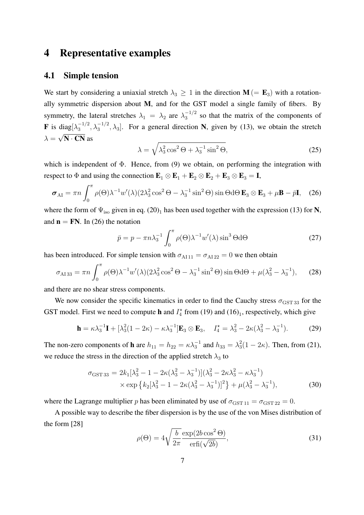## 4 Representative examples

#### 4.1 Simple tension

We start by considering a uniaxial stretch  $\lambda_3 \geq 1$  in the direction  $M (= E_3)$  with a rotationally symmetric dispersion about M, and for the GST model a single family of fibers. By symmetry, the lateral stretches  $\lambda_1 = \lambda_2$  are  $\lambda_3^{-1/2}$  so that the matrix of the components of **F** is diag $[\lambda_3^{-1/2}, \lambda_3^{-1/2}, \lambda_3]$ . For a general direction N, given by (13), we obtain the stretch  $\lambda = \sqrt{\mathbf{N} \cdot \mathbf{C} \mathbf{N}}$  as

$$
\lambda = \sqrt{\lambda_3^2 \cos^2 \Theta + \lambda_3^{-1} \sin^2 \Theta},\tag{25}
$$

which is independent of  $\Phi$ . Hence, from (9) we obtain, on performing the integration with respect to  $\Phi$  and using the connection  $\mathbf{E}_1 \otimes \mathbf{E}_1 + \mathbf{E}_2 \otimes \mathbf{E}_2 + \mathbf{E}_3 \otimes \mathbf{E}_3 = \mathbf{I}$ ,

$$
\boldsymbol{\sigma}_{\rm AI} = \pi n \int_0^{\pi} \rho(\Theta) \lambda^{-1} w'(\lambda) (2\lambda_3^2 \cos^2 \Theta - \lambda_3^{-1} \sin^2 \Theta) \sin \Theta d\Theta \mathbf{E}_3 \otimes \mathbf{E}_3 + \mu \mathbf{B} - \bar{p} \mathbf{I}, \quad (26)
$$

where the form of  $\Psi_{\text{iso}}$  given in eq. (20)<sub>1</sub> has been used together with the expression (13) for N, and  $\mathbf{n} = \mathbf{FN}$ . In (26) the notation

$$
\bar{p} = p - \pi n \lambda_3^{-1} \int_0^{\pi} \rho(\Theta) \lambda^{-1} w'(\lambda) \sin^3 \Theta d\Theta \qquad (27)
$$

has been introduced. For simple tension with  $\sigma_{\text{Al }11} = \sigma_{\text{Al }22} = 0$  we then obtain

$$
\sigma_{\text{A133}} = \pi n \int_0^{\pi} \rho(\Theta) \lambda^{-1} w'(\lambda) (2\lambda_3^2 \cos^2 \Theta - \lambda_3^{-1} \sin^2 \Theta) \sin \Theta d\Theta + \mu (\lambda_3^2 - \lambda_3^{-1}), \quad (28)
$$

and there are no shear stress components.

We now consider the specific kinematics in order to find the Cauchy stress  $\sigma_{\text{GST 33}}$  for the GST model. First we need to compute **h** and  $I_4^*$  from (19) and (16)<sub>1</sub>, respectively, which give

$$
\mathbf{h} = \kappa \lambda_3^{-1} \mathbf{I} + [\lambda_3^2 (1 - 2\kappa) - \kappa \lambda_3^{-1}] \mathbf{E}_3 \otimes \mathbf{E}_3, \quad I_4^* = \lambda_3^2 - 2\kappa (\lambda_3^2 - \lambda_3^{-1}). \tag{29}
$$

The non-zero components of **h** are  $h_{11} = h_{22} = \kappa \lambda_3^{-1}$  and  $h_{33} = \lambda_3^2 (1 - 2\kappa)$ . Then, from (21), we reduce the stress in the direction of the applied stretch  $\lambda_3$  to

$$
\sigma_{\text{GST 33}} = 2k_1[\lambda_3^2 - 1 - 2\kappa(\lambda_3^2 - \lambda_3^{-1})](\lambda_3^2 - 2\kappa\lambda_3^2 - \kappa\lambda_3^{-1})
$$
  
 
$$
\times \exp\left\{k_2[\lambda_3^2 - 1 - 2\kappa(\lambda_3^2 - \lambda_3^{-1})]^2\right\} + \mu(\lambda_3^2 - \lambda_3^{-1}),
$$
 (30)

where the Lagrange multiplier p has been eliminated by use of  $\sigma_{\text{GST 11}} = \sigma_{\text{GST 22}} = 0$ .

A possible way to describe the fiber dispersion is by the use of the von Mises distribution of the form [28]

$$
\rho(\Theta) = 4\sqrt{\frac{b}{2\pi}} \frac{\exp(2b\cos^2\Theta)}{\text{erfi}(\sqrt{2b})},\tag{31}
$$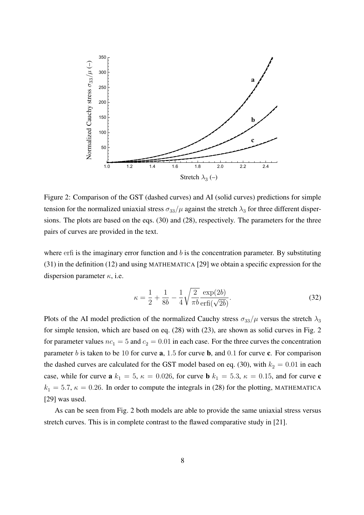

Figure 2: Comparison of the GST (dashed curves) and AI (solid curves) predictions for simple Figure 2: Comparison of the GST (dashed curves) and AI (solid curves) predictions for simple tension for the normalized uniaxial stress  $\sigma_{33}/\mu$  against the stretch  $\lambda_3$  for three different dispersions. The plots are based on the eqs. (30) and (28), respectively. The parameters for the three pairs of curves are provided in the text. pairs of curves are provided in the text.

where erfi is the imaginary error function and b is the concentration parameter. By substituting  $(31)$  in the definition (12) and using MATHEMATICA [29] we obtain a specific expression for the dispersion parameter  $\kappa$ , i.e.

$$
\kappa = \frac{1}{2} + \frac{1}{8b} - \frac{1}{4} \sqrt{\frac{2}{\pi b}} \frac{\exp(2b)}{\exp((\sqrt{2b})}.
$$
 (32)

case, while for curve a k1  $\sim$   $\sim$  5,  $\sim$  0.036, for curve curve curve curve curve curve curve curve curve curve curve curve curve curve curve curve curve curve curve curve curve curve curve curve curve curve curve cur Plots of the AI model prediction of the normalized Cauchy stress  $\sigma_{33}/\mu$  versus the stretch  $\lambda_3$ for simple tension, which are based on eq.  $(28)$  with  $(23)$ , are shown as solid curves in Fig. 2 for parameter values  $nc_1 = 5$  and  $c_2 = 0.01$  in each case. For the three curves the concentration stretch curves is in complete contrast to the flaw experiment of  $\frac{1}{2}$ . The flawed comparative study in  $\frac{1}{2}$ .  $k_1 = 5.7$ ,  $\kappa = 0.26$ . In order to compute the integrals in (28) for the plotting, MATHEMATICA  $9$  was used. parameter b is taken to be 10 for curve  $a$ , 1.5 for curve b, and 0.1 for curve c. For comparison the dashed curves are calculated for the GST model based on eq. (30), with  $k_2 = 0.01$  in each case, while for curve **a**  $k_1 = 5$ ,  $\kappa = 0.026$ , for curve **b**  $k_1 = 5.3$ ,  $\kappa = 0.15$ , and for curve **c** [29] was used.

As can be seen from Fig. 2 both models are able to provide the same uniaxial stress versus stretch curves. This is in complete contrast to the flawed comparative study in [21].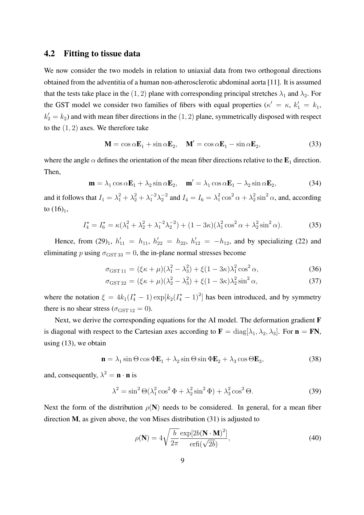#### 4.2 Fitting to tissue data

We now consider the two models in relation to uniaxial data from two orthogonal directions obtained from the adventitia of a human non-atherosclerotic abdominal aorta [11]. It is assumed that the tests take place in the  $(1, 2)$  plane with corresponding principal stretches  $\lambda_1$  and  $\lambda_2$ . For the GST model we consider two families of fibers with equal properties  $(\kappa' = \kappa, k'_1 = k_1,$  $k'_2 = k_2$ ) and with mean fiber directions in the  $(1, 2)$  plane, symmetrically disposed with respect to the  $(1, 2)$  axes. We therefore take

$$
\mathbf{M} = \cos \alpha \mathbf{E}_1 + \sin \alpha \mathbf{E}_2, \quad \mathbf{M}' = \cos \alpha \mathbf{E}_1 - \sin \alpha \mathbf{E}_2,\tag{33}
$$

where the angle  $\alpha$  defines the orientation of the mean fiber directions relative to the  $\mathbf{E}_1$  direction. Then,

$$
\mathbf{m} = \lambda_1 \cos \alpha \mathbf{E}_1 + \lambda_2 \sin \alpha \mathbf{E}_2, \quad \mathbf{m}' = \lambda_1 \cos \alpha \mathbf{E}_1 - \lambda_2 \sin \alpha \mathbf{E}_2,\tag{34}
$$

and it follows that  $I_1 = \lambda_1^2 + \lambda_2^2 + \lambda_1^{-2}\lambda_2^{-2}$  and  $I_4 = I_6 = \lambda_1^2\cos^2\alpha + \lambda_2^2\sin^2\alpha$ , and, according to  $(16)_1$ ,

$$
I_4^* = I_6^* = \kappa(\lambda_1^2 + \lambda_2^2 + \lambda_1^{-2}\lambda_2^{-2}) + (1 - 3\kappa)(\lambda_1^2 \cos^2 \alpha + \lambda_2^2 \sin^2 \alpha). \tag{35}
$$

Hence, from  $(29)_1$ ,  $h'_{11} = h_{11}$ ,  $h'_{22} = h_{22}$ ,  $h'_{12} = -h_{12}$ , and by specializing  $(22)$  and eliminating p using  $\sigma_{\text{GST 33}} = 0$ , the in-plane normal stresses become

$$
\sigma_{\text{GST 11}} = (\xi \kappa + \mu)(\lambda_1^2 - \lambda_3^2) + \xi (1 - 3\kappa)\lambda_1^2 \cos^2 \alpha, \tag{36}
$$

$$
\sigma_{\text{GST 22}} = (\xi \kappa + \mu)(\lambda_2^2 - \lambda_3^2) + \xi (1 - 3\kappa)\lambda_2^2 \sin^2 \alpha,
$$
\n(37)

where the notation  $\xi = 4k_1(I_4^* - 1) \exp[k_2(I_4^* - 1)^2]$  has been introduced, and by symmetry there is no shear stress ( $\sigma_{\text{GST 12}} = 0$ ).

Next, we derive the corresponding equations for the AI model. The deformation gradient **F** is diagonal with respect to the Cartesian axes according to  $\mathbf{F} = \text{diag}[\lambda_1, \lambda_2, \lambda_3]$ . For  $\mathbf{n} = \mathbf{FN}$ , using (13), we obtain

$$
\mathbf{n} = \lambda_1 \sin \Theta \cos \Phi \mathbf{E}_1 + \lambda_2 \sin \Theta \sin \Phi \mathbf{E}_2 + \lambda_3 \cos \Theta \mathbf{E}_3, \tag{38}
$$

and, consequently,  $\lambda^2 = \mathbf{n} \cdot \mathbf{n}$  is

$$
\lambda^2 = \sin^2 \Theta(\lambda_1^2 \cos^2 \Phi + \lambda_2^2 \sin^2 \Phi) + \lambda_3^2 \cos^2 \Theta.
$$
 (39)

Next the form of the distribution  $\rho(N)$  needs to be considered. In general, for a mean fiber direction M, as given above, the von Mises distribution (31) is adjusted to

$$
\rho(\mathbf{N}) = 4\sqrt{\frac{b}{2\pi}} \frac{\exp[2b(\mathbf{N} \cdot \mathbf{M})^2]}{\text{erfi}(\sqrt{2b})},\tag{40}
$$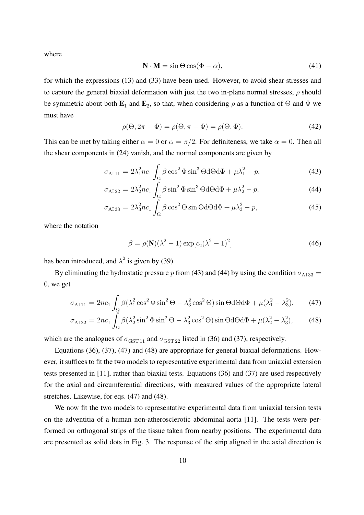where

$$
\mathbf{N} \cdot \mathbf{M} = \sin \Theta \cos(\Phi - \alpha),\tag{41}
$$

for which the expressions (13) and (33) have been used. However, to avoid shear stresses and to capture the general biaxial deformation with just the two in-plane normal stresses,  $\rho$  should be symmetric about both  $\mathbf{E}_1$  and  $\mathbf{E}_2$ , so that, when considering  $\rho$  as a function of  $\Theta$  and  $\Phi$  we must have

$$
\rho(\Theta, 2\pi - \Phi) = \rho(\Theta, \pi - \Phi) = \rho(\Theta, \Phi). \tag{42}
$$

This can be met by taking either  $\alpha = 0$  or  $\alpha = \pi/2$ . For definiteness, we take  $\alpha = 0$ . Then all the shear components in (24) vanish, and the normal components are given by

$$
\sigma_{\text{Al }11} = 2\lambda_1^2 n c_1 \int_{\Omega} \beta \cos^2 \Phi \sin^3 \Theta \, d\Theta \, d\Phi + \mu \lambda_1^2 - p,\tag{43}
$$

$$
\sigma_{\text{A122}} = 2\lambda_2^2 n c_1 \int_{\Omega} \beta \sin^2 \Phi \sin^3 \Theta d\Theta d\Phi + \mu \lambda_2^2 - p,\tag{44}
$$

$$
\sigma_{\text{A133}} = 2\lambda_3^2 n c_1 \int_{\Omega} \beta \cos^2 \Theta \sin \Theta d\Theta d\Phi + \mu \lambda_3^2 - p,\tag{45}
$$

where the notation

$$
\beta = \rho(\mathbf{N})(\lambda^2 - 1)\exp[c_2(\lambda^2 - 1)^2]
$$
\n(46)

has been introduced, and  $\lambda^2$  is given by (39).

By eliminating the hydrostatic pressure p from (43) and (44) by using the condition  $\sigma_{A133} =$ 0, we get

$$
\sigma_{\text{A111}} = 2nc_1 \int_{\Omega} \beta(\lambda_1^2 \cos^2 \Phi \sin^2 \Theta - \lambda_3^2 \cos^2 \Theta) \sin \Theta d\Theta d\Phi + \mu(\lambda_1^2 - \lambda_3^2), \tag{47}
$$

$$
\sigma_{\text{A122}} = 2nc_1 \int_{\Omega} \beta(\lambda_2^2 \sin^2 \Phi \sin^2 \Theta - \lambda_3^2 \cos^2 \Theta) \sin \Theta d\Theta d\Phi + \mu(\lambda_2^2 - \lambda_3^2),\tag{48}
$$

which are the analogues of  $\sigma_{\text{GST 11}}$  and  $\sigma_{\text{GST 22}}$  listed in (36) and (37), respectively.

Equations (36), (37), (47) and (48) are appropriate for general biaxial deformations. However, it suffices to fit the two models to representative experimental data from uniaxial extension tests presented in [11], rather than biaxial tests. Equations (36) and (37) are used respectively for the axial and circumferential directions, with measured values of the appropriate lateral stretches. Likewise, for eqs. (47) and (48).

We now fit the two models to representative experimental data from uniaxial tension tests on the adventitia of a human non-atherosclerotic abdominal aorta [11]. The tests were performed on orthogonal strips of the tissue taken from nearby positions. The experimental data are presented as solid dots in Fig. 3. The response of the strip aligned in the axial direction is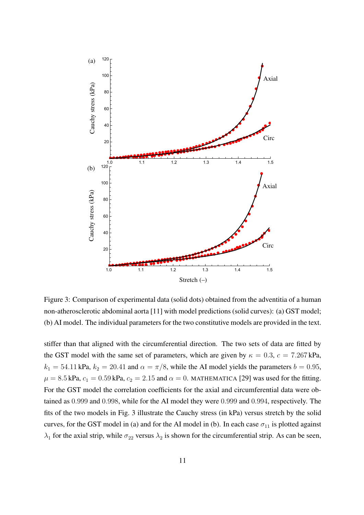

Figure 3: Comparison of experimental data (solid dots) obtained from the adventitia of a human non-atherosclerotic abdominal aorta [11] with model predictions (solid curves): (a) GST model; (b) AI model. The individual parameters for the two constitutive models are provided in the text.

THE FITTING. FOR THE GST MODEL THE CORRELATION COEFFICIENTS FOR THE AXIAL AND CIRCUMFERENTIAL DATA WERE OBTAINED AS 0.999 AND 0.9999 AND 0.9999 AND 0.9999 AND 0.9999 AND 0.9999 AND 0.99 the GST model with the same set of parameters, which are given by  $\kappa = 0.3$ ,  $c = 7.267 \text{ kPa}$ ,  $k_1 = 54.11 \text{ kPa}, k_2 = 20.41 \text{ and } \alpha = \pi/8$ , while the AI model yields the parameters  $b = 0.95$ ,  $\mu = 8.5 \text{ kPa}, c_1 = 0.59 \text{ kPa}, c_2 = 2.15 \text{ and } \alpha = 0. \text{ MATHEMATICA [29] was used for the fitting.}$ For the GST model the correlation coefficients for the axial and circumferential data were obtained as  $0.999$  and  $0.998$ , while for the AI model they were  $0.999$  and  $0.994$ , respectively. The fits of the two models in Fig. 3 illustrate the Cauchy stress (in kPa) versus stretch by the solid stiffer than that aligned with the circumferential direction. The two sets of data are fitted by curves, for the GST model in (a) and for the AI model in (b). In each case  $\sigma_{11}$  is plotted against  $\lambda_1$  for the axial strip, while  $\sigma_{22}$  versus  $\lambda_2$  is shown for the circumferential strip. As can be seen,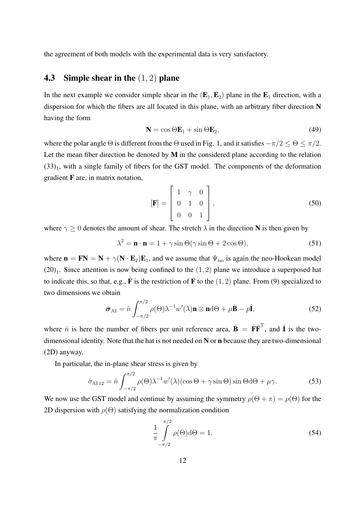the agreement of both models with the experimental data is very satisfactory.

### **4.3** Simple shear in the  $(1, 2)$  plane

In the next example we consider simple shear in the  $(E_1, E_2)$  plane in the  $E_1$  direction, with a dispersion for which the fibers are all located in this plane, with an arbitrary fiber direction N having the form

$$
\mathbf{N} = \cos \Theta \mathbf{E}_1 + \sin \Theta \mathbf{E}_2, \tag{49}
$$

where the polar angle  $\Theta$  is different from the  $\Theta$  used in Fig. 1, and it satisfies  $-\pi/2 \leq \Theta \leq \pi/2$ . Let the mean fiber direction be denoted by  $M$  in the considered plane according to the relation  $(33)_1$ , with a single family of fibers for the GST model. The components of the deformation gradient F are, in matrix notation,

$$
\begin{bmatrix} \mathbf{F} \end{bmatrix} = \begin{bmatrix} 1 & \gamma & 0 \\ 0 & 1 & 0 \\ 0 & 0 & 1 \end{bmatrix},\tag{50}
$$

where  $\gamma \geq 0$  denotes the amount of shear. The stretch  $\lambda$  in the direction N is then given by

$$
\lambda^2 = \mathbf{n} \cdot \mathbf{n} = 1 + \gamma \sin \Theta(\gamma \sin \Theta + 2 \cos \Theta),\tag{51}
$$

where  $\mathbf{n} = \mathbf{FN} = \mathbf{N} + \gamma(\mathbf{N} \cdot \mathbf{E}_2)\mathbf{E}_1$ , and we assume that  $\Psi_{\text{iso}}$  is again the neo-Hookean model  $(20)_1$ . Since attention is now being confined to the  $(1, 2)$  plane we introduce a superposed hat to indicate this, so that, e.g.,  $\hat{\mathbf{F}}$  is the restriction of F to the  $(1, 2)$  plane. From (9) specialized to two dimensions we obtain

$$
\hat{\boldsymbol{\sigma}}_{AI} = \hat{n} \int_{-\pi/2}^{\pi/2} \rho(\Theta) \lambda^{-1} w'(\lambda) \mathbf{n} \otimes \mathbf{n} d\Theta + \mu \hat{\mathbf{B}} - p \hat{\mathbf{I}},
$$
(52)

where  $\hat{n}$  is here the number of fibers per unit reference area,  $\hat{\mathbf{B}} = \hat{\mathbf{F}} \hat{\mathbf{F}}^T$ , and  $\hat{\mathbf{I}}$  is the twodimensional identity. Note that the hat is not needed on N or n because they are two-dimensional (2D) anyway.

In particular, the in-plane shear stress is given by

$$
\hat{\sigma}_{\text{A112}} = \hat{n} \int_{-\pi/2}^{\pi/2} \rho(\Theta) \lambda^{-1} w'(\lambda) (\cos \Theta + \gamma \sin \Theta) \sin \Theta d\Theta + \mu \gamma. \tag{53}
$$

We now use the GST model and continue by assuming the symmetry  $\rho(\Theta + \pi) = \rho(\Theta)$  for the 2D dispersion with  $\rho(\Theta)$  satisfying the normalization condition

$$
\frac{1}{\pi} \int_{-\pi/2}^{\pi/2} \rho(\Theta) d\Theta = 1.
$$
\n(54)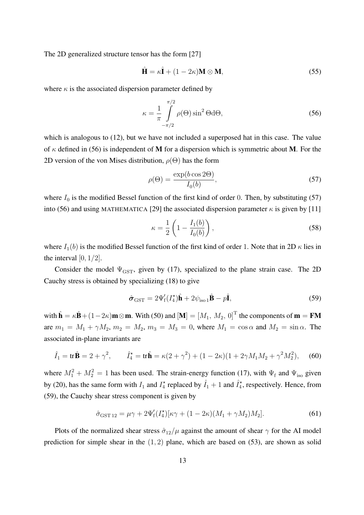The 2D generalized structure tensor has the form [27]

$$
\hat{\mathbf{H}} = \kappa \hat{\mathbf{I}} + (1 - 2\kappa) \mathbf{M} \otimes \mathbf{M},\tag{55}
$$

where  $\kappa$  is the associated dispersion parameter defined by

$$
\kappa = \frac{1}{\pi} \int_{-\pi/2}^{\pi/2} \rho(\Theta) \sin^2 \Theta \, d\Theta,\tag{56}
$$

which is analogous to (12), but we have not included a superposed hat in this case. The value of  $\kappa$  defined in (56) is independent of **M** for a dispersion which is symmetric about **M**. For the 2D version of the von Mises distribution,  $\rho(\Theta)$  has the form

$$
\rho(\Theta) = \frac{\exp(b \cos 2\Theta)}{I_0(b)},\tag{57}
$$

where  $I_0$  is the modified Bessel function of the first kind of order 0. Then, by substituting (57) into (56) and using MATHEMATICA [29] the associated dispersion parameter  $\kappa$  is given by [11]

$$
\kappa = \frac{1}{2} \left( 1 - \frac{I_1(b)}{I_0(b)} \right),\tag{58}
$$

where  $I_1(b)$  is the modified Bessel function of the first kind of order 1. Note that in 2D  $\kappa$  lies in the interval  $[0, 1/2]$ .

Consider the model  $\Psi_{\text{GST}}$ , given by (17), specialized to the plane strain case. The 2D Cauchy stress is obtained by specializing (18) to give

$$
\hat{\boldsymbol{\sigma}}_{\text{GST}} = 2\Psi_{\text{f}}'(I_4^{\star})\hat{\mathbf{h}} + 2\psi_{\text{iso 1}}\hat{\mathbf{B}} - p\hat{\mathbf{I}},
$$
\n(59)

with  $\hat{\mathbf{h}} = \kappa \hat{\mathbf{B}} + (1 - 2\kappa)\mathbf{m} \otimes \mathbf{m}$ . With (50) and  $[\mathbf{M}] = [M_1, M_2, 0]^T$  the components of  $\mathbf{m} = \mathbf{F}\mathbf{M}$ are  $m_1 = M_1 + \gamma M_2$ ,  $m_2 = M_2$ ,  $m_3 = M_3 = 0$ , where  $M_1 = \cos \alpha$  and  $M_2 = \sin \alpha$ . The associated in-plane invariants are

$$
\hat{I}_1 = \text{tr}\,\hat{\mathbf{B}} = 2 + \gamma^2, \qquad \hat{I}_4^* = \text{tr}\,\hat{\mathbf{h}} = \kappa(2 + \gamma^2) + (1 - 2\kappa)(1 + 2\gamma M_1 M_2 + \gamma^2 M_2^2), \tag{60}
$$

where  $M_1^2 + M_2^2 = 1$  has been used. The strain-energy function (17), with  $\Psi_f$  and  $\Psi_{\text{iso}}$  given by (20), has the same form with  $I_1$  and  $I_4^*$  replaced by  $\hat{I}_1 + 1$  and  $\hat{I}_4^*$ , respectively. Hence, from (59), the Cauchy shear stress component is given by

$$
\hat{\sigma}_{\text{GST 12}} = \mu \gamma + 2\Psi_{\text{f}}'(I_4^{\star})[\kappa \gamma + (1 - 2\kappa)(M_1 + \gamma M_2)M_2].\tag{61}
$$

Plots of the normalized shear stress  $\hat{\sigma}_{12}/\mu$  against the amount of shear  $\gamma$  for the AI model prediction for simple shear in the  $(1, 2)$  plane, which are based on  $(53)$ , are shown as solid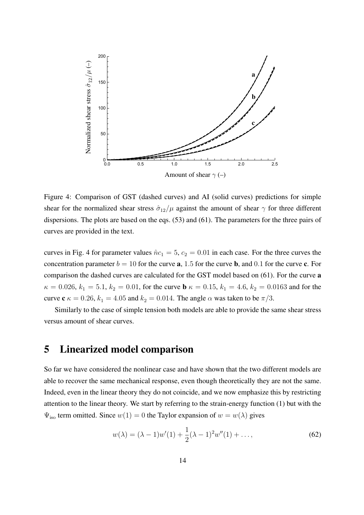

Figure 4: Comparison of GST (dashed curves) and AI (solid curves) predictions for simple Figure 4: Comparison of GST (dashed curves) and AI (solid curves) predictions for simple shear for the normalized shear stress  $\hat{\sigma}_{12}/\mu$  against the amount of shear  $\gamma$  for three different dispersions. The plots are based on the eqs. (53) and (61). The parameters for the three pairs of dispersions. The plots are based on the eqs. (53) and (61). The parameters for the three pairs of curves are provided in the text. curves are provided in the text.

curves in Fig. 4 for parameter values  $\hat{n}c_1 = 5$ ,  $c_2 = 0.01$  in each case. For the three curves the concentration parameter  $b = 10$  for the curve **a**, 1.5 for the curve **b**, and 0.1 for the curve **c**. For comparison the dashed curves are calculated for the GST model based on (61). For the curve a  $\kappa = 0.026, k_1 = 5.1, k_2 = 0.01$ , for the curve **b**  $\kappa = 0.15, k_1 = 4.6, k_2 = 0.0163$  and for the curve  $\mathbf{c} \kappa = 0.26, k_1 = 4.05$  and  $k_2 = 0.014$ . The angle  $\alpha$  was taken to be  $\pi/3$ .

Similarly to the case of simple tension both models are able to provide the same shear stress versus amount of shear curves.

### 5 Linearized model comparison SIMILARLY TO THE CASE OF SIMPLE TENSION BOTH MODELS ARE ABLE TO THE CASE OF SIMPLE TENSION BOTH MODELS ARE ABL

So far we have considered the nonlinear case and have shown that the two different models are Indeed, even in the linear theory they do not coincide, and we now emphasize this by restricting<br>extention to the linear theory. We start by referring to the strein energy function (1) by with the  $\Psi_{\text{iso}}$  term omitted. Since  $w(1) = 0$  the Taylor expansion of  $w = w(\lambda)$  gives able to recover the same mechanical response, even though theoretically they are not the same. attention to the linear theory. We start by referring to the strain-energy function (1) but with the

$$
w(\lambda) = (\lambda - 1)w'(1) + \frac{1}{2}(\lambda - 1)^2w''(1) + \dots,
$$
\n(62)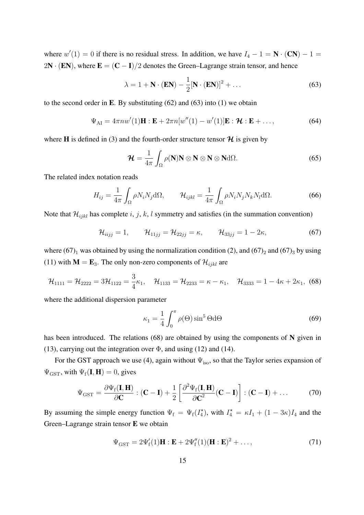where  $w'(1) = 0$  if there is no residual stress. In addition, we have  $I_4 - 1 = \mathbf{N} \cdot (\mathbf{CN}) - 1 =$ 2N · (EN), where  $E = (C - I)/2$  denotes the Green–Lagrange strain tensor, and hence

$$
\lambda = 1 + \mathbf{N} \cdot (\mathbf{EN}) - \frac{1}{2} [\mathbf{N} \cdot (\mathbf{EN})]^2 + \dots
$$
 (63)

to the second order in E. By substituting  $(62)$  and  $(63)$  into  $(1)$  we obtain

$$
\Psi_{\rm AI} = 4\pi n w'(1) \mathbf{H} : \mathbf{E} + 2\pi n [w''(1) - w'(1)] \mathbf{E} : \mathcal{H} : \mathbf{E} + \dots,
$$
\n(64)

where **H** is defined in (3) and the fourth-order structure tensor  $\mathcal{H}$  is given by

$$
\mathcal{H} = \frac{1}{4\pi} \int_{\Omega} \rho(\mathbf{N}) \mathbf{N} \otimes \mathbf{N} \otimes \mathbf{N} \otimes \mathbf{N} \mathrm{d}\Omega. \tag{65}
$$

The related index notation reads

$$
H_{ij} = \frac{1}{4\pi} \int_{\Omega} \rho N_i N_j d\Omega, \qquad \mathcal{H}_{ijkl} = \frac{1}{4\pi} \int_{\Omega} \rho N_i N_j N_k N_l d\Omega. \tag{66}
$$

Note that  $\mathcal{H}_{ijkl}$  has complete i, j, k, l symmetry and satisfies (in the summation convention)

$$
\mathcal{H}_{iijj} = 1, \qquad \mathcal{H}_{11jj} = \mathcal{H}_{22jj} = \kappa, \qquad \mathcal{H}_{33jj} = 1 - 2\kappa,
$$
\n(67)

where  $(67)_1$  was obtained by using the normalization condition (2), and  $(67)_2$  and  $(67)_3$  by using (11) with  $M = E_3$ . The only non-zero components of  $\mathcal{H}_{ijkl}$  are

$$
\mathcal{H}_{1111} = \mathcal{H}_{2222} = 3\mathcal{H}_{1122} = \frac{3}{4}\kappa_1, \quad \mathcal{H}_{1133} = \mathcal{H}_{2233} = \kappa - \kappa_1, \quad \mathcal{H}_{3333} = 1 - 4\kappa + 2\kappa_1, \tag{68}
$$

where the additional dispersion parameter

$$
\kappa_1 = \frac{1}{4} \int_0^{\pi} \rho(\Theta) \sin^5 \Theta \, d\Theta \tag{69}
$$

has been introduced. The relations  $(68)$  are obtained by using the components of N given in (13), carrying out the integration over  $\Phi$ , and using (12) and (14).

For the GST approach we use (4), again without  $\Psi_{\text{iso}}$ , so that the Taylor series expansion of  $\Psi_{\text{GST}}$ , with  $\Psi_{\text{f}}(\mathbf{I}, \mathbf{H}) = 0$ , gives

$$
\Psi_{\text{GST}} = \frac{\partial \Psi_{\text{f}}(\mathbf{I}, \mathbf{H})}{\partial \mathbf{C}} : (\mathbf{C} - \mathbf{I}) + \frac{1}{2} \left[ \frac{\partial^2 \Psi_{\text{f}}(\mathbf{I}, \mathbf{H})}{\partial \mathbf{C}^2} (\mathbf{C} - \mathbf{I}) \right] : (\mathbf{C} - \mathbf{I}) + \dots
$$
 (70)

By assuming the simple energy function  $\Psi_f = \Psi_f(I_4^*)$ , with  $I_4^* = \kappa I_1 + (1 - 3\kappa)I_4$  and the Green–Lagrange strain tensor E we obtain

$$
\Psi_{\text{GST}} = 2\Psi_{\text{f}}'(1)\mathbf{H} : \mathbf{E} + 2\Psi_{\text{f}}''(1)(\mathbf{H} : \mathbf{E})^2 + \dots,
$$
\n(71)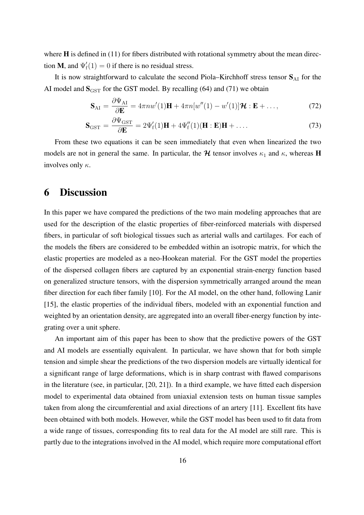where **H** is defined in (11) for fibers distributed with rotational symmetry about the mean direction **M**, and  $\Psi'_{f}(1) = 0$  if there is no residual stress.

It is now straightforward to calculate the second Piola–Kirchhoff stress tensor  $S_{AI}$  for the AI model and  $S_{\text{GST}}$  for the GST model. By recalling (64) and (71) we obtain

$$
\mathbf{S}_{\mathrm{AI}} = \frac{\partial \Psi_{\mathrm{AI}}}{\partial \mathbf{E}} = 4\pi n w'(1)\mathbf{H} + 4\pi n[w''(1) - w'(1)]\mathbf{H} : \mathbf{E} + \dots,
$$
 (72)

$$
\mathbf{S}_{\text{GST}} = \frac{\partial \Psi_{\text{GST}}}{\partial \mathbf{E}} = 2\Psi_{\text{f}}'(1)\mathbf{H} + 4\Psi_{\text{f}}''(1)(\mathbf{H} : \mathbf{E})\mathbf{H} + \dots
$$
\n(73)

From these two equations it can be seen immediately that even when linearized the two models are not in general the same. In particular, the  $H$  tensor involves  $\kappa_1$  and  $\kappa$ , whereas H involves only  $\kappa$ .

## 6 Discussion

In this paper we have compared the predictions of the two main modeling approaches that are used for the description of the elastic properties of fiber-reinforced materials with dispersed fibers, in particular of soft biological tissues such as arterial walls and cartilages. For each of the models the fibers are considered to be embedded within an isotropic matrix, for which the elastic properties are modeled as a neo-Hookean material. For the GST model the properties of the dispersed collagen fibers are captured by an exponential strain-energy function based on generalized structure tensors, with the dispersion symmetrically arranged around the mean fiber direction for each fiber family [10]. For the AI model, on the other hand, following Lanir [15], the elastic properties of the individual fibers, modeled with an exponential function and weighted by an orientation density, are aggregated into an overall fiber-energy function by integrating over a unit sphere.

An important aim of this paper has been to show that the predictive powers of the GST and AI models are essentially equivalent. In particular, we have shown that for both simple tension and simple shear the predictions of the two dispersion models are virtually identical for a significant range of large deformations, which is in sharp contrast with flawed comparisons in the literature (see, in particular, [20, 21]). In a third example, we have fitted each dispersion model to experimental data obtained from uniaxial extension tests on human tissue samples taken from along the circumferential and axial directions of an artery [11]. Excellent fits have been obtained with both models. However, while the GST model has been used to fit data from a wide range of tissues, corresponding fits to real data for the AI model are still rare. This is partly due to the integrations involved in the AI model, which require more computational effort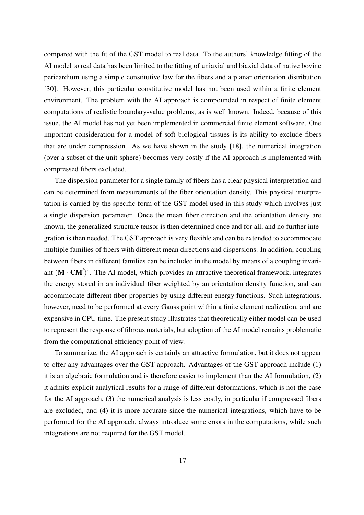compared with the fit of the GST model to real data. To the authors' knowledge fitting of the AI model to real data has been limited to the fitting of uniaxial and biaxial data of native bovine pericardium using a simple constitutive law for the fibers and a planar orientation distribution [30]. However, this particular constitutive model has not been used within a finite element environment. The problem with the AI approach is compounded in respect of finite element computations of realistic boundary-value problems, as is well known. Indeed, because of this issue, the AI model has not yet been implemented in commercial finite element software. One important consideration for a model of soft biological tissues is its ability to exclude fibers that are under compression. As we have shown in the study [18], the numerical integration (over a subset of the unit sphere) becomes very costly if the AI approach is implemented with compressed fibers excluded.

The dispersion parameter for a single family of fibers has a clear physical interpretation and can be determined from measurements of the fiber orientation density. This physical interpretation is carried by the specific form of the GST model used in this study which involves just a single dispersion parameter. Once the mean fiber direction and the orientation density are known, the generalized structure tensor is then determined once and for all, and no further integration is then needed. The GST approach is very flexible and can be extended to accommodate multiple families of fibers with different mean directions and dispersions. In addition, coupling between fibers in different families can be included in the model by means of a coupling invariant  $(M \cdot CM')^2$ . The AI model, which provides an attractive theoretical framework, integrates the energy stored in an individual fiber weighted by an orientation density function, and can accommodate different fiber properties by using different energy functions. Such integrations, however, need to be performed at every Gauss point within a finite element realization, and are expensive in CPU time. The present study illustrates that theoretically either model can be used to represent the response of fibrous materials, but adoption of the AI model remains problematic from the computational efficiency point of view.

To summarize, the AI approach is certainly an attractive formulation, but it does not appear to offer any advantages over the GST approach. Advantages of the GST approach include (1) it is an algebraic formulation and is therefore easier to implement than the AI formulation, (2) it admits explicit analytical results for a range of different deformations, which is not the case for the AI approach, (3) the numerical analysis is less costly, in particular if compressed fibers are excluded, and (4) it is more accurate since the numerical integrations, which have to be performed for the AI approach, always introduce some errors in the computations, while such integrations are not required for the GST model.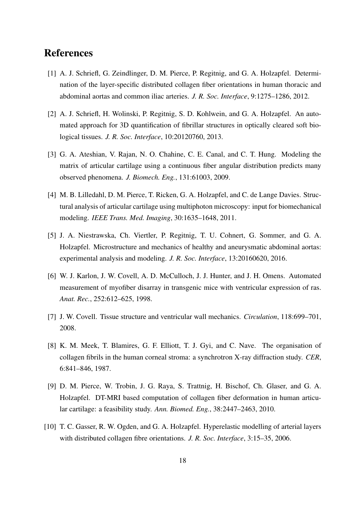# References

- [1] A. J. Schriefl, G. Zeindlinger, D. M. Pierce, P. Regitnig, and G. A. Holzapfel. Determination of the layer-specific distributed collagen fiber orientations in human thoracic and abdominal aortas and common iliac arteries. *J. R. Soc. Interface*, 9:1275–1286, 2012.
- [2] A. J. Schriefl, H. Wolinski, P. Regitnig, S. D. Kohlwein, and G. A. Holzapfel. An automated approach for 3D quantification of fibrillar structures in optically cleared soft biological tissues. *J. R. Soc. Interface*, 10:20120760, 2013.
- [3] G. A. Ateshian, V. Rajan, N. O. Chahine, C. E. Canal, and C. T. Hung. Modeling the matrix of articular cartilage using a continuous fiber angular distribution predicts many observed phenomena. *J. Biomech. Eng.*, 131:61003, 2009.
- [4] M. B. Lilledahl, D. M. Pierce, T. Ricken, G. A. Holzapfel, and C. de Lange Davies. Structural analysis of articular cartilage using multiphoton microscopy: input for biomechanical modeling. *IEEE Trans. Med. Imaging*, 30:1635–1648, 2011.
- [5] J. A. Niestrawska, Ch. Viertler, P. Regitnig, T. U. Cohnert, G. Sommer, and G. A. Holzapfel. Microstructure and mechanics of healthy and aneurysmatic abdominal aortas: experimental analysis and modeling. *J. R. Soc. Interface*, 13:20160620, 2016.
- [6] W. J. Karlon, J. W. Covell, A. D. McCulloch, J. J. Hunter, and J. H. Omens. Automated measurement of myofiber disarray in transgenic mice with ventricular expression of ras. *Anat. Rec.*, 252:612–625, 1998.
- [7] J. W. Covell. Tissue structure and ventricular wall mechanics. *Circulation*, 118:699–701, 2008.
- [8] K. M. Meek, T. Blamires, G. F. Elliott, T. J. Gyi, and C. Nave. The organisation of collagen fibrils in the human corneal stroma: a synchrotron X-ray diffraction study. *CER*, 6:841–846, 1987.
- [9] D. M. Pierce, W. Trobin, J. G. Raya, S. Trattnig, H. Bischof, Ch. Glaser, and G. A. Holzapfel. DT-MRI based computation of collagen fiber deformation in human articular cartilage: a feasibility study. *Ann. Biomed. Eng.*, 38:2447–2463, 2010.
- [10] T. C. Gasser, R. W. Ogden, and G. A. Holzapfel. Hyperelastic modelling of arterial layers with distributed collagen fibre orientations. *J. R. Soc. Interface*, 3:15–35, 2006.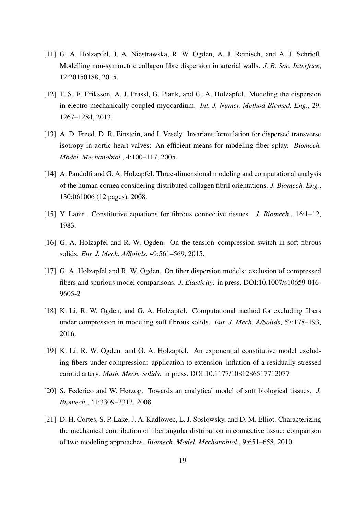- [11] G. A. Holzapfel, J. A. Niestrawska, R. W. Ogden, A. J. Reinisch, and A. J. Schriefl. Modelling non-symmetric collagen fibre dispersion in arterial walls. *J. R. Soc. Interface*, 12:20150188, 2015.
- [12] T. S. E. Eriksson, A. J. Prassl, G. Plank, and G. A. Holzapfel. Modeling the dispersion in electro-mechanically coupled myocardium. *Int. J. Numer. Method Biomed. Eng.*, 29: 1267–1284, 2013.
- [13] A. D. Freed, D. R. Einstein, and I. Vesely. Invariant formulation for dispersed transverse isotropy in aortic heart valves: An efficient means for modeling fiber splay. *Biomech. Model. Mechanobiol.*, 4:100–117, 2005.
- [14] A. Pandolfi and G. A. Holzapfel. Three-dimensional modeling and computational analysis of the human cornea considering distributed collagen fibril orientations. *J. Biomech. Eng.*, 130:061006 (12 pages), 2008.
- [15] Y. Lanir. Constitutive equations for fibrous connective tissues. *J. Biomech.*, 16:1–12, 1983.
- [16] G. A. Holzapfel and R. W. Ogden. On the tension–compression switch in soft fibrous solids. *Eur. J. Mech. A/Solids*, 49:561–569, 2015.
- [17] G. A. Holzapfel and R. W. Ogden. On fiber dispersion models: exclusion of compressed fibers and spurious model comparisons. *J. Elasticity*. in press. DOI:10.1007/s10659-016- 9605-2
- [18] K. Li, R. W. Ogden, and G. A. Holzapfel. Computational method for excluding fibers under compression in modeling soft fibrous solids. *Eur. J. Mech. A/Solids*, 57:178–193, 2016.
- [19] K. Li, R. W. Ogden, and G. A. Holzapfel. An exponential constitutive model excluding fibers under compression: application to extension–inflation of a residually stressed carotid artery. *Math. Mech. Solids*. in press. DOI:10.1177/1081286517712077
- [20] S. Federico and W. Herzog. Towards an analytical model of soft biological tissues. *J. Biomech.*, 41:3309–3313, 2008.
- [21] D. H. Cortes, S. P. Lake, J. A. Kadlowec, L. J. Soslowsky, and D. M. Elliot. Characterizing the mechanical contribution of fiber angular distribution in connective tissue: comparison of two modeling approaches. *Biomech. Model. Mechanobiol.*, 9:651–658, 2010.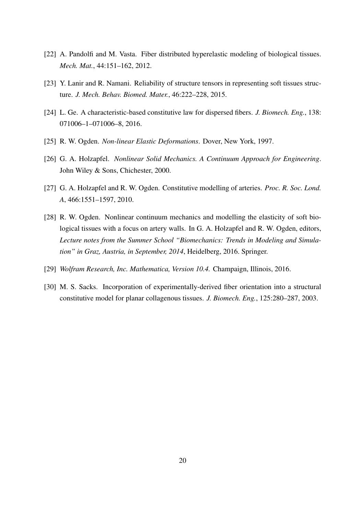- [22] A. Pandolfi and M. Vasta. Fiber distributed hyperelastic modeling of biological tissues. *Mech. Mat.*, 44:151–162, 2012.
- [23] Y. Lanir and R. Namani. Reliability of structure tensors in representing soft tissues structure. *J. Mech. Behav. Biomed. Mater.*, 46:222–228, 2015.
- [24] L. Ge. A characteristic-based constitutive law for dispersed fibers. *J. Biomech. Eng.*, 138: 071006–1–071006–8, 2016.
- [25] R. W. Ogden. *Non-linear Elastic Deformations*. Dover, New York, 1997.
- [26] G. A. Holzapfel. *Nonlinear Solid Mechanics. A Continuum Approach for Engineering*. John Wiley & Sons, Chichester, 2000.
- [27] G. A. Holzapfel and R. W. Ogden. Constitutive modelling of arteries. *Proc. R. Soc. Lond. A*, 466:1551–1597, 2010.
- [28] R. W. Ogden. Nonlinear continuum mechanics and modelling the elasticity of soft biological tissues with a focus on artery walls. In G. A. Holzapfel and R. W. Ogden, editors, *Lecture notes from the Summer School "Biomechanics: Trends in Modeling and Simulation" in Graz, Austria, in September, 2014*, Heidelberg, 2016. Springer.
- [29] *Wolfram Research, Inc. Mathematica, Version 10.4.* Champaign, Illinois, 2016.
- [30] M. S. Sacks. Incorporation of experimentally-derived fiber orientation into a structural constitutive model for planar collagenous tissues. *J. Biomech. Eng.*, 125:280–287, 2003.